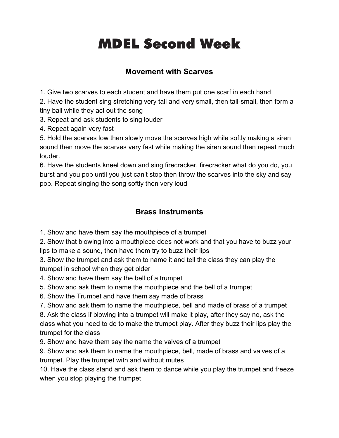# **Second Head Start Week** MDEL Second Week

#### **Movement with Scarves**

1. Give two scarves to each student and have them put one scarf in each hand

2. Have the student sing stretching very tall and very small, then tall-small, then form a tiny ball while they act out the song

3. Repeat and ask students to sing louder

4. Repeat again very fast

5. Hold the scarves low then slowly move the scarves high while softly making a siren sound then move the scarves very fast while making the siren sound then repeat much louder.

6. Have the students kneel down and sing firecracker, firecracker what do you do, you burst and you pop until you just can't stop then throw the scarves into the sky and say pop. Repeat singing the song softly then very loud

## **Brass Instruments**

1. Show and have them say the mouthpiece of a trumpet

2. Show that blowing into a mouthpiece does not work and that you have to buzz your lips to make a sound, then have them try to buzz their lips

3. Show the trumpet and ask them to name it and tell the class they can play the trumpet in school when they get older

4. Show and have them say the bell of a trumpet

5. Show and ask them to name the mouthpiece and the bell of a trumpet

6. Show the Trumpet and have them say made of brass

7. Show and ask them to name the mouthpiece, bell and made of brass of a trumpet

8. Ask the class if blowing into a trumpet will make it play, after they say no, ask the class what you need to do to make the trumpet play. After they buzz their lips play the trumpet for the class

9. Show and have them say the name the valves of a trumpet

9. Show and ask them to name the mouthpiece, bell, made of brass and valves of a trumpet. Play the trumpet with and without mutes

10. Have the class stand and ask them to dance while you play the trumpet and freeze when you stop playing the trumpet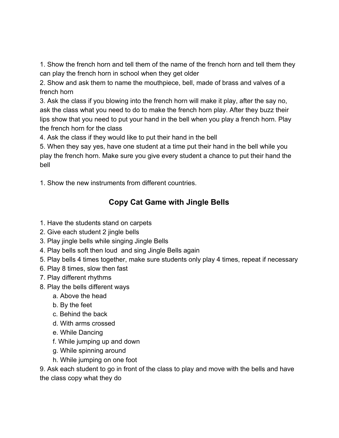1. Show the french horn and tell them of the name of the french horn and tell them they can play the french horn in school when they get older

2. Show and ask them to name the mouthpiece, bell, made of brass and valves of a french horn

3. Ask the class if you blowing into the french horn will make it play, after the say no, ask the class what you need to do to make the french horn play. After they buzz their lips show that you need to put your hand in the bell when you play a french horn. Play the french horn for the class

4. Ask the class if they would like to put their hand in the bell

5. When they say yes, have one student at a time put their hand in the bell while you play the french horn. Make sure you give every student a chance to put their hand the bell

1. Show the new instruments from different countries.

## **Copy Cat Game with Jingle Bells**

- 1. Have the students stand on carpets
- 2. Give each student 2 jingle bells
- 3. Play jingle bells while singing Jingle Bells
- 4. Play bells soft then loud and sing Jingle Bells again
- 5. Play bells 4 times together, make sure students only play 4 times, repeat if necessary
- 6. Play 8 times, slow then fast
- 7. Play different rhythms
- 8. Play the bells different ways
	- a. Above the head
	- b. By the feet
	- c. Behind the back
	- d. With arms crossed
	- e. While Dancing
	- f. While jumping up and down
	- g. While spinning around
	- h. While jumping on one foot

9. Ask each student to go in front of the class to play and move with the bells and have the class copy what they do